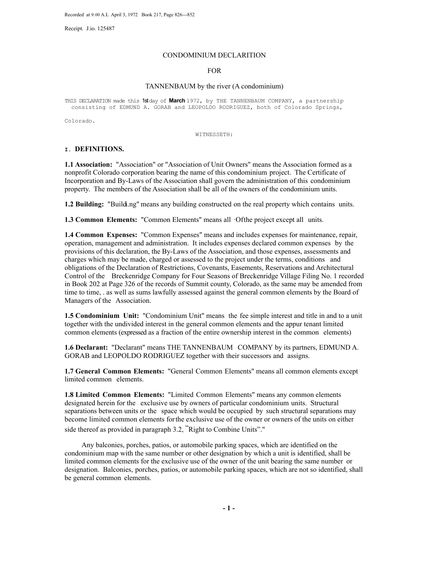Receipt. J.io. 125487

#### CONDOMINIUM DECLARITION

#### FOR

#### TANNENBAUM by the river (A condominium)

THIS DECLARATION made this 1st day of **March** 1972, by THE TANNENBAUM COMPANY, a partnership consisting of EDMUND A. GORAB and LEOPOLDO RODRIGUEZ, both of Colorado Springs,

Colorado.

WITNESSETH:

#### **I. DEFINITIONS.**

**1.1 Association:** "Association" or "Association of Unit Owners" means the Association formed as a nonprofit Colorado corporation bearing the name of this condominium project. The Certificate of Incorporation and By-Laws of the Association shall govern the administration of this condominium property. The members of the Association shall be all of the owners of the condominium units.

**1.2 Building:** "Buildi.ng" means any building constructed on the real property which contains units.

**1.3 Common Elements:** "Common Elements" means all ·Ofthe project except all units.

**1.4 Common Expenses:** "Common Expenses" means and includes expenses for maintenance, repair, operation, management and administration. It includes expenses declared common expenses by the provisions of this declaration, the By-Laws of the Association, and those expenses, assessments and charges which may be made, charged or assessed to the project under the terms, conditions and obligations of the Declaration of Restrictions, Covenants, Easements, Reservations and Architectural Control of the Breckenridge Company for Four Seasons of Breckenridge Village Filing No. 1 recorded in Book 202 at Page 326 of the records of Summit county, Colorado, as the same may be amended from time to time, . as well as sums lawfully assessed against the general common elements by the Board of Managers of the Association.

**1.5 Condominium Unit:** "Condominium Unit" means the fee simple interest and title in and to a unit together with the undivided interest in the general common elements and the appur tenant limited common elements (expressed as a fraction of the entire ownership interest in the common elements)

**1.6 Declarant:** "Declarant" means THE TANNENBAUM COMPANY by its partners, EDMUND A. GORAB and LEOPOLDO RODRIGUEZ together with their successors and assigns.

**1.7 General Common Elements:** "General Common Elements" means all common elements except limited common elements.

**1.8 Limited Common Elements:** "Limited Common Elements" means any common elements designated herein for the exclusive use by owners of particular condominium units. Structural separations between units or the space which would be occupied by such structural separations may become limited common elements forthe exclusive use of the owner or owners of the units on either side thereof as provided in paragraph 3.2, "Right to Combine Units"."

Any balconies, porches, patios, or automobile parking spaces, which are identified on the condominium map with the same number or other designation by which a unit is identified, shall be limited common elements for the exclusive use of the owner of the unit bearing the same number or designation. Balconies, porches, patios, or automobile parking spaces, which are not so identified, shall be general common elements.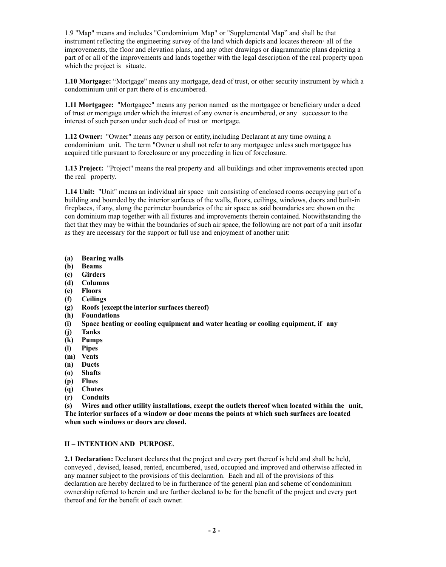1.9 "Map" means and includes "Condominium Map" or "Supplemental Map" and shall be that instrument reflecting the engineering survey of the land which depicts and locates thereon· all of the improvements, the floor and elevation plans, and any other drawings or diagrammatic plans depicting a part of or all of the improvements and lands together with the legal description of the real property upon which the project is situate.

**1.10 Mortgage:** "Mortgage" means any mortgage, dead of trust, or other security instrument by which a condominium unit or part there of is encumbered.

**1.11 Mortgagee:** "Mortgagee" means any person named as the mortgagee or beneficiary under a deed of trust or mortgage under which the interest of any owner is encumbered, or any successor to the interest of such person under such deed of trust or mortgage.

**1.12 Owner:** "Owner" means any person or entity,including Declarant at any time owning a condominium unit. The term "Owner u shall not refer to any mortgagee unless such mortgagee has acquired title pursuant to foreclosure or any proceeding in lieu of foreclosure.

**1.13 Project:** "Project" means the real property and all buildings and other improvements erected upon the real property.

**1.14 Unit:** "Unit" means an individual air space unit consisting of enclosed rooms occupying part of a building and bounded by the interior surfaces of the walls, floors, ceilings, windows, doors and built-in fireplaces, if any, along the perimeter boundaries of the air space as said boundaries are shown on the con dominium map together with all fixtures and improvements therein contained. Notwithstanding the fact that they may be within the boundaries of such air space, the following are not part of a unit insofar as they are necessary for the support or full use and enjoyment of another unit:

- **(a) Bearing walls**
- **(b) Beams**
- **(c) Girders**
- **(d) Columns**
- **(e) Floors**
- **(f) Ceilings**
- **(g) Roofs {exceptthe interior surfacesthereof)**
- **(h) Foundations**
- **(i) Space heating or cooling equipment and water heating or cooling equipment, if any**
- **(j) Tanks**
- **(k) Pumps**
- **(l) Pipes**
- **(m) Vents**
- **(n) Ducts**
- **(o) Shafts**
- **(p) Flues**
- **(q) Chutes**
- **(r) Conduits**

**(s) Wires and other utility installations, except the outlets thereof when located within the unit, The interior surfaces of a window or door means the points at which such surfaces are located when such windows or doors are closed.**

#### **II – INTENTION AND PURPOSE**.

**2.1 Declaration:** Declarant declares that the project and every part thereof is held and shall be held, conveyed , devised, leased, rented, encumbered, used, occupied and improved and otherwise affected in any manner subject to the provisions of this declaration. Each and all of the provisions of this declaration are hereby declared to be in furtherance of the general plan and scheme of condominium ownership referred to herein and are further declared to be for the benefit of the project and every part thereof and for the benefit of each owner.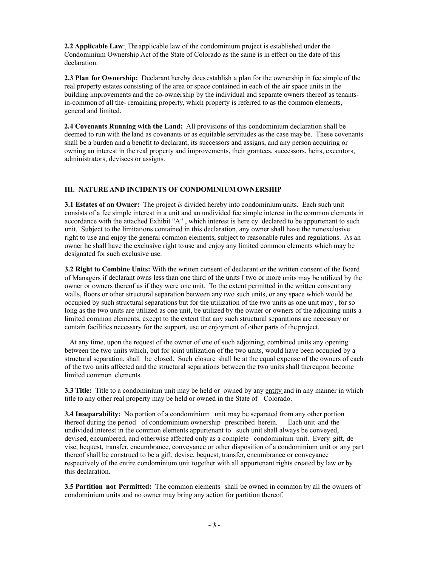**2.2 Applicable Law**: The applicable law of the condominium project is established under the Condominium Ownership Act of the State of Colorado as the same is in effect on the date of this declaration.

**2.3 Plan for Ownership:** Declarant hereby does establish a plan for the ownership in fee simple of the real property estates consisting of the area or space contained in each of the air space units in the building improvements and the co-ownership by the individual and separate owners thereof as tenantsin-common of all the- remaining property, which property is referred to as the common elements, general and limited.

**2.4 Covenants Running with the Land:** All provisions of this condominium declaration shall be deemed to run with the land as covenants or as equitable servitudes as the case may be. These covenants shall be a burden and a benefit to declarant, its successors and assigns, and any person acquiring or owning an interest in the real property and improvements, their grantees, successors, heirs, executors, administrators, devisees or assigns.

#### **III. NATURE AND INCIDENTS OF CONDOMINIUMOWNERSHIP**

**3.1 Estates of an Owner:** The project *is* divided hereby into condominium units. Each such unit consists of a fee simple interest in a unit and an undivided fee simple interest in the common elements in accordance with the attached Exhibit "A" , which interest is here cy declared to be appurtenant to such unit. Subject to the limitations contained in this declaration, any owner shall have the nonexclusive right to use and enjoy the general common elements, subject to reasonable rules and regulations. As an owner he shall have the exclusive right to use and enjoy any limited common elements which may be designated for such exclusive use.

**3.2 Right to Combine Units:** With the written consent of declarant or the written consent of the Board of Managers if declarant owns less than one third of the units I two or more units may be utilized by the owner or owners thereof as if they were one unit. To the extent permitted in the written consent any walls, floors or other structural separation between any two such units, or any space which would be occupied by such structural separations but for the utilization of the two units as one unit may , for so long as the two units are utilized as one unit, be utilized by the owner or owners of the adjoining units a limited common elements, except to the extent that any such structural separations are necessary or contain facilities necessary for the support, use or enjoyment of other parts of the project.

 At any time, upon the request of the owner of one of such adjoining, combined units any opening between the two units which, but for joint utilization of the two units, would have been occupied by a structural separation, shall be closed. Such closure shall be at the equal expense of the owners of each of the two units affected and the structural separations between the two units shall thereupon become limited common elements.

**3.3 Title:** Title to a condominium unit may be held or owned by any entity and in any manner in which title to any other real property may be held or owned in the State of Colorado.

**3.4 Inseparability:** No portion of a condominium unit may be separated from any other portion thereof during the period of condominium ownership prescribed herein. Each unit and the undivided interest in the common elements appurtenant to such unit shall always be conveyed, devised, encumbered, and otherwise affected only as a complete condominium unit. Every gift, de vise, bequest, transfer, encumbrance, conveyance or other disposition of a condominium unit or any part thereof shall be construed to be a gift, devise, bequest, transfer, encumbrance or conveyance respectively of the entire condominium unit together with all appurtenant rights created by law or by this declaration.

**3.5 Partition not Permitted:** The common elements shall be owned in common by all the owners of condominium units and no owner may bring any action for partition thereof.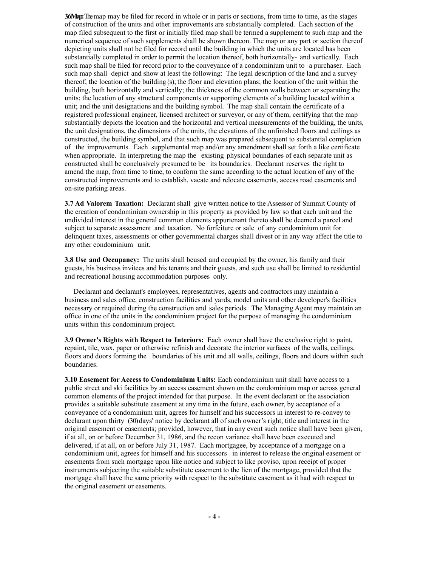**36Map:** The map may be filed for record in whole or in parts or sections, from time to time, as the stages of construction of the units and other improvements are substantially completed. Each section of the map filed subsequent to the first or initially filed map shall be termed a supplement to such map and the numerical sequence of such supplements shall be shown thereon. The map or any part or section thereof depicting units shall not be filed for record until the building in which the units are located has been substantially completed in order to permit the location thereof, both horizontally- and vertically. Each such map shall be filed for record prior to the conveyance of a condominium unit to a purchaser. Each such map shall depict and show at least the following: The legal description of the land and a survey thereof; the location of the building{s); the floor and elevation plans; the location of the unit within the building, both horizontally and vertically; the thickness of the common walls between or separating the units; the location of any structural components or supporting elements of a building located within a unit; and the unit designations and the building symbol. The map shall contain the certificate of a registered professional engineer, licensed architect or surveyor, or any of them, certifying that the map substantially depicts the location and the horizontal and vertical measurements of the building, the units, the unit designations, the dimensions of the units, the elevations of the unfinished floors and ceilings as constructed, the building symbol, and that such map was prepared subsequent to substantial completion of the improvements. Each supplemental map and/or any amendment shall set forth a like certificate when appropriate. In interpreting the map the existing physical boundaries of each separate unit as constructed shall be conclusively presumed to be its boundaries. Declarant reserves the right to amend the map, from time to time, to conform the same according to the actual location of any of the constructed improvements and to establish, vacate and relocate easements, access road easements and on-site parking areas.

**3.7 Ad Valorem Taxation:** Declarant shall give written notice to the Assessor of Summit County of the creation of condominium ownership in this property as provided by law so that each unit and the undivided interest in the general common elements appurtenant thereto shall be deemed a parcel and subject to separate assessment and taxation. No forfeiture or sale of any condominium unit for delinquent taxes, assessments or other governmental charges shall divest or in any way affect the title to any other condominium unit.

**3.8 Use and Occupancy:** The units shall beused and occupied by the owner, his family and their guests, his business invitees and his tenants and their guests, and such use shall be limited to residential and recreational housing accommodation purposes only.

 Declarant and declarant's employees, representatives, agents and contractors may maintain a business and sales office, construction facilities and yards, model units and other developer's facilities necessary or required during the construction and sales periods. The Managing Agent may maintain an office in one of the units in the condominium project for the purpose of managing the condominium units within this condominium project.

**3.9 Owner's Rights with Respect to Interiors:** Each owner shall have the exclusive right to paint, repaint, tile, wax, paper or otherwise refinish and decorate the interior surfaces of the walls, ceilings, floors and doors forming the boundaries of his unit and all walls, ceilings, floors and doors within such boundaries.

**3.10 Easement for Access to Condominium Units:** Each condominium unit shall have access to a public street and ski facilities by an access easement shown on the condominium map or across general common elements of the project intended for that purpose. In the event declarant or the association provides a suitable substitute easement at any time in the future, each owner, by acceptance of a conveyance of a condominium unit, agrees for himself and his successors in interest to re-convey to declarant upon thirty (30) days' notice by declarant all of such owner's right, title and interest in the original easement or easements; provided, however, that in any event such notice shall have been given, if at all, on or before December 31, 1986, and the recon variance shall have been executed and delivered, if at all, on or before July 31, 1987. Each mortgagee, by acceptance of a mortgage on a condominium unit, agrees for himself and his successors in interest to release the original easement or easements from such mortgage upon like notice and subject to like proviso, upon receipt of proper instruments subjecting the suitable substitute easement to the lien of the mortgage, provided that the mortgage shall have the same priority with respect to the substitute easement as it had with respect to the original easement or easements.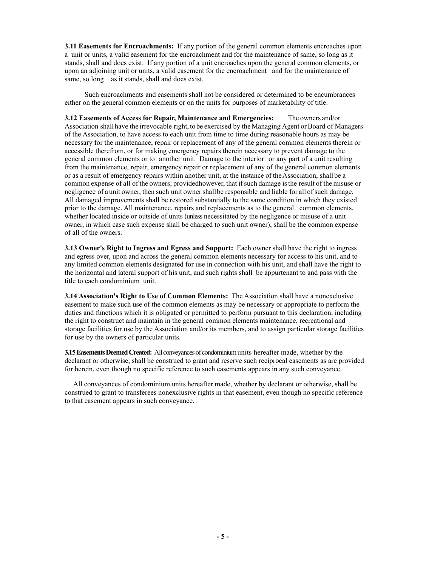**3.11 Easements for Encroachments:** If any portion of the general common elements encroaches upon a unit or units, a valid easement for the encroachment and for the maintenance of same, so long as it stands, shall and does exist. If any portion of a unit encroaches upon the general common elements, or upon an adjoining unit or units, a valid easement for the encroachment and for the maintenance of same, so long as it stands, shall and does exist.

 Such encroachments and easements shall not be considered or determined to be encumbrances either on the general common elements or on the units for purposes of marketability of title.

**3.12 Easements of Access for Repair, Maintenance and Emergencies:** The owners and/or Association shall have the irrevocable right, to be exercised by the Managing Agent or Board of Managers of the Association, to have access to each unit from time to time during reasonable hours as may be necessary for the maintenance, repair or replacement of any of the general common elements therein or accessible therefrom, or for making emergency repairs therein necessary to prevent damage to the general common elements or to another unit. Damage to the interior or any part of a unit resulting from the maintenance, repair, emergency repair or replacement of any of the general common elements or as a result of emergency repairs within another unit, at the instance of theAssociation, shall be a common expense of all of the owners; provided however, that if such damage is the result of the misuse or negligence of a unit owner, then such unit ownershallbe responsible and liable for all of such damage. All damaged improvements shall be restored substantially to the same condition in which they existed prior to the damage. All maintenance, repairs and replacements as to the general common elements, whether located inside or outside of units (unless necessitated by the negligence or misuse of a unit owner, in which case such expense shall be charged to such unit owner), shall be the common expense of all of the owners.

**3.13 Owner's Right to Ingress and Egress and Support:** Each owner shall have the right to ingress and egress over, upon and across the general common elements necessary for access to his unit, and to any limited common elements designated for use in connection with his unit, and shall have the right to the horizontal and lateral support of his unit, and such rights shall be appurtenant to and pass with the title to each condominium unit.

**3.14 Association's Right to Use of Common Elements:** The Association shall have a nonexclusive easement to make such use of the common elements as may be necessary or appropriate to perform the duties and functions which it is obligated or permitted to perform pursuant to this declaration, including the right to construct and maintain in the general common elements maintenance, recreational and storage facilities for use by the Association and/or its members, and to assign particular storage facilities for use by the owners of particular units.

**3.15 Easements Deemed Created:** All conveyances of condominium units hereafter made, whether by the declarant or otherwise, shall be construed to grant and reserve such reciprocal easements as are provided for herein, even though no specific reference to such easements appears in any such conveyance.

 All conveyances of condominium units hereafter made, whether by declarant or otherwise, shall be construed to grant to transferees nonexclusive rights in that easement, even though no specific reference to that easement appears in such conveyance.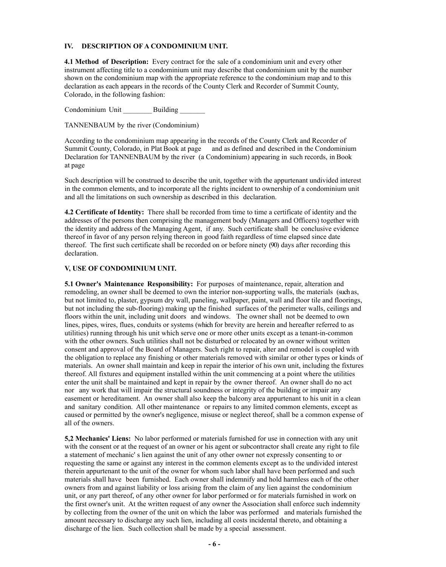#### **IV. DESCRIPTION OF A CONDOMINIUM UNIT.**

**4.1 Method of Description:** Every contract for the sale of a condominium unit and every other instrument affecting title to a condominium unit may describe that condominium unit by the number shown on the condominium map with the appropriate reference to the condominium map and to this declaration as each appears in the records of the County Clerk and Recorder of Summit County, Colorado, in the following fashion:

Condominium Unit \_\_\_\_\_\_\_\_Building *\_\_\_\_\_\_\_*

TANNENBAUM by the river (Condominium)

According to the condominium map appearing in the records of the County Clerk and Recorder of Summit County, Colorado, in Plat Book at page and as defined and described in the Condominium Declaration for TANNENBAUM by the river (a Condominium) appearing in such records, in Book at page

Such description will be construed to describe the unit, together with the appurtenant undivided interest in the common elements, and to incorporate all the rights incident to ownership of a condominium unit and all the limitations on such ownership as described in this declaration.

**4.2 Certificate of Identity:** There shall be recorded from time to time a certificate of identity and the addresses of the persons then comprising the management body (Managers and Officers) together with the identity and address of the Managing Agent, if any. Such certificate shall be conclusive evidence thereof in favor of any person relying thereon in good faith regardless of time elapsed since date thereof. The first such certificate shall be recorded on or before ninety (90) days after recording this declaration.

#### **V, USE OF CONDOMINIUM UNIT.**

**5.1 Owner's Maintenance Responsibility:** For purposes of maintenance, repair, alteration and remodeling, an owner shall be deemed to own the interior non-supporting walls, the materials (such as, but not limited to, plaster, gypsum dry wall, paneling, wallpaper, paint, wall and floor tile and floorings, but not including the sub-flooring) making up the finished surfaces of the perimeter walls, ceilings and floors within the unit, including unit doors and windows. The owner shall not be deemed to own lines, pipes, wires, flues, conduits or systems (which for brevity are herein and hereafter referred to as utilities) running through his unit which serve one or more other units except as a tenant-in-common with the other owners. Such utilities shall not be disturbed or relocated by an owner without written consent and approval of the Board of Managers. Such right to repair, alter and remodel is coupled with the obligation to replace any finishing or other materials removed with similar or other types or kinds of materials. An owner shall maintain and keep in repair the interior of his own unit, including the fixtures thereof. All fixtures and equipment installed within the unit commencing at a point where the utilities enter the unit shall be maintained and kept in repair by the owner thereof. An owner shall do no act nor any work that will impair the structural soundness or integrity of the building or impair any easement or hereditament. An owner shall also keep the balcony area appurtenant to his unit in a clean and sanitary condition. All other maintenance or repairs to any limited common elements, except as caused or permitted by the owner's negligence, misuse or neglect thereof, shall be a common expense of all of the owners.

**5,2 Mechanics' Liens:** No labor performed or materials furnished for use in connection with any unit with the consent or at the request of an owner or his agent or subcontractor shall create any right to file a statement of mechanic' s lien against the unit of any other owner not expressly consenting to or requesting the same or against any interest in the common elements except as to the undivided interest therein appurtenant to the unit of the owner for whom such labor shall have been performed and such materials shall have been furnished. Each owner shall indemnify and hold harmless each of the other owners from and against liability or loss arising from the claim of any lien against the condominium unit, or any part thereof, of any other owner for labor performed or for materials furnished in work on the first owner's unit. At the written request of any owner the Association shall enforce such indemnity by collecting from the owner of the unit on which the labor was performed and materials furnished the amount necessary to discharge any such lien, including all costs incidental thereto, and obtaining a discharge of the lien. Such collection shall be made by a special assessment.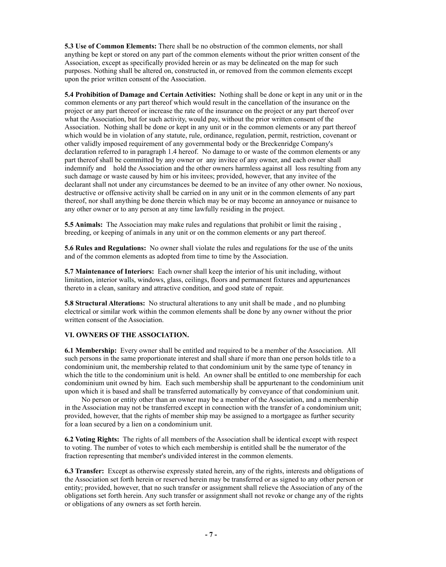**5.3 Use of Common Elements:** There shall be no obstruction of the common elements, nor shall anything be kept or stored on any part of the common elements without the prior written consent of the Association, except as specifically provided herein or as may be delineated on the map for such purposes. Nothing shall be altered on, constructed in, or removed from the common elements except upon the prior written consent of the Association.

**5.4 Prohibition of Damage and Certain Activities:** Nothing shall be done or kept in any unit or in the common elements or any part thereof which would result in the cancellation of the insurance on the project or any part thereof or increase the rate of the insurance on the project or any part thereof over what the Association, but for such activity, would pay, without the prior written consent of the Association. Nothing shall be done or kept in any unit or in the common elements or any part thereof which would be in violation of any statute, rule, ordinance, regulation, permit, restriction, covenant or other validly imposed requirement of any governmental body or the Breckenridge Company's declaration referred to in paragraph 1.4 hereof. No damage to or waste of the common elements or any part thereof shall be committed by any owner or any invitee of any owner, and each owner shall indemnify and hold the Association and the other owners harmless against all loss resulting from any such damage or waste caused by him or his invitees; provided, however, that any invitee of the declarant shall not under any circumstances be deemed to be an invitee of any other owner. No noxious, destructive or offensive activity shall be carried on in any unit or in the common elements of any part thereof, nor shall anything be done therein which may be or may become an annoyance or nuisance to any other owner or to any person at any time lawfully residing in the project.

**5.5 Animals:** The Association may make rules and regulations that prohibit or limit the raising , breeding, or keeping of animals in any unit or on the common elements or any part thereof.

**5.6 Rules and Regulations:** No owner shall violate the rules and regulations for the use of the units and of the common elements as adopted from time to time by the Association.

**5.7 Maintenance of Interiors:** Each owner shall keep the interior of his unit including, without limitation, interior walls, windows, glass, ceilings, floors and permanent fixtures and appurtenances thereto in a clean, sanitary and attractive condition, and good state of repair.

**5.8 Structural Alterations:** No structural alterations to any unit shall be made , and no plumbing electrical or similar work within the common elements shall be done by any owner without the prior written consent of the Association.

#### **VI. OWNERS OF THE ASSOCIATION.**

**6.1 Membership:** Every owner shall be entitled and required to be a member of the Association. All such persons in the same proportionate interest and shall share if more than one person holds title to a condominium unit, the membership related to that condominium unit by the same type of tenancy in which the title to the condominium unit is held. An owner shall be entitled to one membership for each condominium unit owned by him. Each such membership shall be appurtenant to the condominium unit upon which it is based and shall be transferred automatically by conveyance of that condominium unit.

No person or entity other than an owner may be a member of the Association, and a membership in the Association may not be transferred except in connection with the transfer of a condominium unit; provided, however, that the rights of member ship may be assigned to a mortgagee as further security for a loan secured by a lien on a condominium unit.

**6.2 Voting Rights:** The rights of all members of the Association shall be identical except with respect to voting. The number of votes to which each membership is entitled shall be the numerator of the fraction representing that member's undivided interest in the common elements.

**6.3 Transfer:** Except as otherwise expressly stated herein, any of the rights, interests and obligations of the Association set forth herein or reserved herein may be transferred or as signed to any other person or entity; provided, however, that no such transfer or assignment shall relieve the Association of any of the obligations set forth herein. Any such transfer or assignment shall not revoke or change any of the rights or obligations of any owners as set forth herein.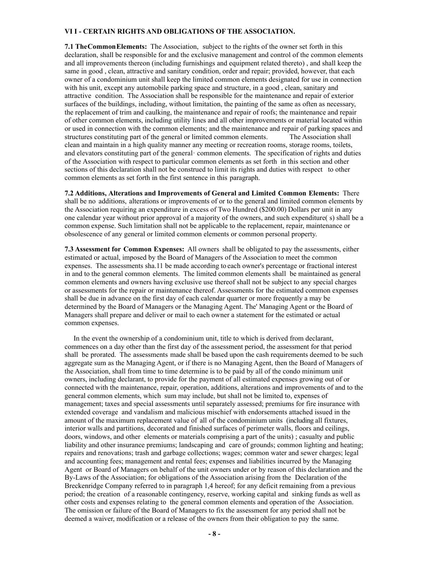## **VI I - CERTAIN RIGHTS AND OBLIGATIONS OF THE ASSOCIATION.**

**7.1 The Common Elements:** The Association, subject to the rights of the owner set forth in this declaration, shall be responsible for and the exclusive management and control of the common elements and all improvements thereon (including furnishings and equipment related thereto) , and shall keep the same in good , clean, attractive and sanitary condition, order and repair; provided, however, that each owner of a condominium unit shall keep the limited common elements designated for use in connection with his unit, except any automobile parking space and structure, in a good , clean, sanitary and attractive condition. The Association shall be responsible for the maintenance and repair of exterior surfaces of the buildings, including, without limitation, the painting of the same as often as necessary, the replacement of trim and caulking, the maintenance and repair of roofs; the maintenance and repair of other common elements, including utility lines and all other improvements or material located within or used in connection with the common elements; and the maintenance and repair of parking spaces and structures constituting part of the general or limited common elements. The Association shall clean and maintain in a high quality manner any meeting or recreation rooms, storage rooms, toilets, and elevators constituting part of the general· common elements. The specification of rights and duties of the Association with respect to particular common elements as set forth in this section and other sections of this declaration shall not be construed to limit its rights and duties with respect to other common elements as set forth in the first sentence in this paragraph.

**7.2 Additions, Alterations and Improvements of General and Limited Common Elements:** There shall be no additions, alterations or improvements of or to the general and limited common elements by the Association requiring an expenditure in excess of Two Hundred (\$200.00) Dollars per unit in any one calendar year without prior approval of a majority of the owners, and such expenditure( s) shall be a common expense. Such limitation shall not be applicable to the replacement, repair, maintenance or obsolescence of any general or limited common elements or common personal property.

**7.3 Assessment for Common Expenses:** All owners shall be obligated to pay the assessments, either estimated or actual, imposed by the Board of Managers of the Association to meet the common expenses. The assessments sha.11 be made according to each owner's percentage or fractional interest in and to the general common elements. The limited common elements shall be maintained as general common elements and owners having exclusive use thereof shall not be subject to any special charges or assessments for the repair or maintenance thereof. Assessments for the estimated common expenses shall be due in advance on the first day of each calendar quarter or more frequently a may be determined by the Board of Managers or the Managing Agent. The' Managing Agent or the Board of Managers shall prepare and deliver or mail to each owner a statement for the estimated or actual common expenses.

 In the event the ownership of a condominium unit, title to which is derived from declarant, commences on a day other than the first day of the assessment period, the assessment for that period shall be prorated. The assessments made shall be based upon the cash requirements deemed to be such aggregate sum as the Managing Agent, or if there is no Managing Agent, then the Board of Managers of the Association, shall from time to time determine is to be paid by all of the condo minimum unit owners, including declarant, to provide for the payment of all estimated expenses growing out of or connected with the maintenance, repair, operation, additions, alterations and improvements of and to the general common elements, which sum may include, but shall not be limited to, expenses of management; taxes and special assessments until separately assessed; premiums for fire insurance with extended coverage and vandalism and malicious mischief with endorsements attached issued in the amount of the maximum replacement value of all of the condominium units (including all fixtures, interior walls and partitions, decorated and finished surfaces of perimeter walls, floors and ceilings, doors, windows, and other elements or materials comprising a part of the units) ; casualty and public liability and other insurance premiums; landscaping and care of grounds; common lighting and heating; repairs and renovations; trash and garbage collections; wages; common water and sewer charges; legal and accounting fees; management and rental fees; expenses and liabilities incurred by the Managing Agent or Board of Managers on behalf of the unit owners under or by reason of this declaration and the By-Laws of the Association; for obligations of the Association arising from the Declaration of the Breckenridge Company referred to in paragraph 1,4 hereof; for any deficit remaining from a previous period; the creation of a reasonable contingency, reserve, working capital and sinking funds as well as other costs and expenses relating to the general common elements and operation of the Association. The omission or failure of the Board of Managers to fix the assessment for any period shall not be deemed a waiver, modification or a release of the owners from their obligation to pay the same.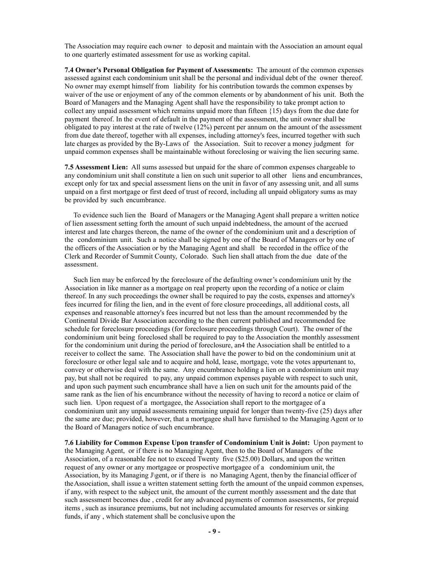The Association may require each owner to deposit and maintain with the Association an amount equal to one quarterly estimated assessment for use as working capital.

**7.4 Owner's Personal Obligation for Payment of Assessments:** The amount of the common expenses assessed against each condominium unit shall be the personal and individual debt of the owner thereof. No owner may exempt himself from liability for his contribution towards the common expenses by waiver of the use or enjoyment of any of the common elements or by abandonment of his unit. Both the Board of Managers and the Managing Agent shall have the responsibility to take prompt action to collect any unpaid assessment which remains unpaid more than fifteen {15) days from the due date for payment thereof. In the event of default in the payment of the assessment, the unit owner shall be obligated to pay interest at the rate of twelve (12%) percent per annum on the amount of the assessment from due date thereof, together with all expenses, including attorney's fees, incurred together with such late charges as provided by the By-Laws of the Association. Suit to recover a money judgment for unpaid common expenses shall be maintainable without foreclosing or waiving the lien securing same.

**7.5 Assessment Lien:** All sums assessed but unpaid for the share of common expenses chargeable to any condominium unit shall constitute a lien on such unit superior to all other liens and encumbrances, except only for tax and special assessment liens on the unit in favor of any assessing unit, and all sums unpaid on a first mortgage or first deed of trust of record, including all unpaid obligatory sums as may be provided by such encumbrance.

 To evidence such lien the Board of Managers or the Managing Agent shall prepare a written notice of lien assessment setting forth the amount of such unpaid indebtedness, the amount of the accrued interest and late charges thereon, the name of the owner of the condominium unit and a description of the condominium unit. Such a notice shall be signed by one of the Board of Managers or by one of the officers of the Association or by the Managing Agent and shall be recorded in the office of the Clerk and Recorder of Summit County, Colorado. Such lien shall attach from the due date of the assessment.

 Such lien may be enforced by the foreclosure of the defaulting owner's condominium unit by the Association in like manner as a mortgage on real property upon the recording of a notice or claim thereof. In any such proceedings the owner shall be required to pay the costs, expenses and attorney's fees incurred for filing the lien, and in the event of fore closure proceedings, all additional costs, all expenses and reasonable attorney's fees incurred but not less than the amount recommended by the Continental Divide Bar Association according to the then current published and recommended fee schedule for foreclosure proceedings (for foreclosure proceedings through Court). The owner of the condominium unit being foreclosed shall be required to pay to the Association the monthly assessment for the condominium unit during the period of foreclosure, an4 the Association shall be entitled to a receiver to collect the same. The Association shall have the power to bid on the condominium unit at foreclosure or other legal sale and to acquire and hold, lease, mortgage, vote the votes appurtenant to, convey or otherwise deal with the same. Any encumbrance holding a lien on a condominium unit may pay, but shall not be required to pay, any unpaid common expenses payable with respect to such unit, and upon such payment such encumbrance shall have a lien on such unit for the amounts paid of the same rank as the lien of his encumbrance without the necessity of having to record a notice or claim of such lien. Upon request of a mortgagee, the Association shall report to the mortgagee of a condominium unit any unpaid assessments remaining unpaid for longer than twenty-five (25) days after the same are due; provided, however, that a mortgagee shall have furnished to the Managing Agent or to the Board of Managers notice of such encumbrance.

**7.6 Liability for Common Expense Upon transfer of Condominium Unit is Joint:** Upon payment to the Managing Agent, or if there is no Managing Agent, then to the Board of Managers of the Association, of a reasonable fee not to exceed Twenty five (\$25.00) Dollars, and upon the written request of any owner or any mortgagee or prospective mortgagee of a condominium unit, the Association, by its Managing J\gent, or if there is no Managing Agent, then by the financial officer of theAssociation, shall issue a written statement setting forth the amount of the unpaid common expenses, if any, with respect to the subject unit, the amount of the current monthly assessment and the date that such assessment becomes due , credit for any advanced payments of common assessments, for prepaid items , such as insurance premiums, but not including accumulated amounts for reserves or sinking funds, if any , which statement shall be conclusive upon the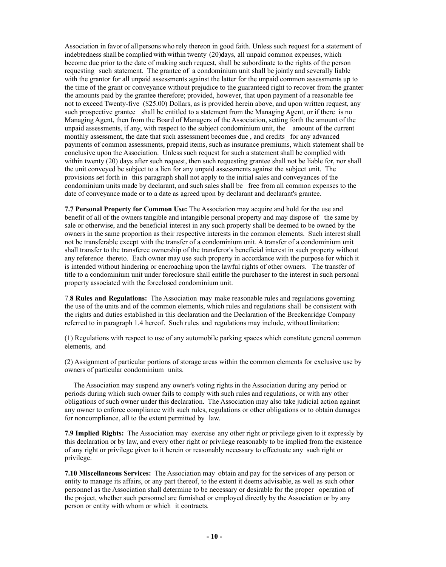Association in favor of all persons who rely thereon in good faith. Unless such request for a statement of indebtedness shallbe complied with within twenty (20)days, all unpaid common expenses, which become due prior to the date of making such request, shall be subordinate to the rights of the person requesting such statement. The grantee of a condominium unit shall be jointly and severally liable with the grantor for all unpaid assessments against the latter for the unpaid common assessments up to the time of the grant or conveyance without prejudice to the guaranteed right to recover from the granter the amounts paid by the grantee therefore; provided, however, that upon payment of a reasonable fee not to exceed Twenty-five (\$25.00) Dollars, as is provided herein above, and upon written request, any such prospective grantee shall be entitled to a statement from the Managing Agent, or if there is no Managing Agent, then from the Board of Managers of the Association, setting forth the amount of the unpaid assessments, if any, with respect to the subject condominium unit, the amount of the current monthly assessment, the date that such assessment becomes due, and credits for any advanced payments of common assessments, prepaid items, such as insurance premiums, which statement shall be conclusive upon the Association. Unless such request for such a statement shall be complied with within twenty (20) days after such request, then such requesting grantee shall not be liable for, nor shall the unit conveyed be subject to a lien for any unpaid assessments against the subject unit. The provisions set forth in this paragraph shall not apply to the initial sales and conveyances of the condominium units made by declarant, and such sales shall be free from all common expenses to the date of conveyance made or to a date as agreed upon by declarant and declarant's grantee.

**7.7 Personal Property for Common Use:** The Association may acquire and hold for the use and benefit of all of the owners tangible and intangible personal property and may dispose of the same by sale or otherwise, and the beneficial interest in any such property shall be deemed to be owned by the owners in the same proportion as their respective interests in the common elements. Such interest shall not be transferable except with the transfer of a condominium unit. A transfer of a condominium unit shall transfer to the transferee ownership of the transferor's beneficial interest in such property without any reference thereto. Each owner may use such property in accordance with the purpose for which it is intended without hindering or encroaching upon the lawful rights of other owners. The transfer of title to a condominium unit under foreclosure shall entitle the purchaser to the interest in such personal property associated with the foreclosed condominium unit.

7.**8 Rules and Regulations:** The Association may make reasonable rules and regulations governing the use of the units and of the common elements, which rules and regulations shall be consistent with the rights and duties established in this declaration and the Declaration of the Breckenridge Company referred to in paragraph 1.4 hereof. Such rules and regulations may include, withoutlimitation:

(1) Regulations with respect to use of any automobile parking spaces which constitute general common elements, and

(2) Assignment of particular portions of storage areas within the common elements for exclusive use by owners of particular condominium units.

 The Association may suspend any owner's voting rights in the Association during any period or periods during which such owner fails to comply with such rules and regulations, or with any other obligations of such owner under this declaration. The Association may also take judicial action against any owner to enforce compliance with such rules, regulations or other obligations or to obtain damages for noncompliance, all to the extent permitted by law.

**7.9 Implied Rights:** The Association may exercise any other right or privilege given to it expressly by this declaration or by law, and every other right or privilege reasonably to be implied from the existence of any right or privilege given to it herein or reasonably necessary to effectuate any such right or privilege.

**7.10 Miscellaneous Services:** The Association may obtain and pay for the services of any person or entity to manage its affairs, or any part thereof, to the extent it deems advisable, as well as such other personnel as the Association shall determine to be necessary or desirable for the proper operation of the project, whether such personnel are furnished or employed directly by the Association or by any person or entity with whom or which it contracts.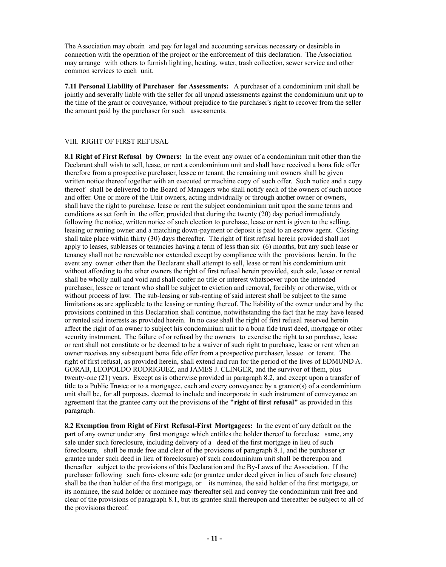The Association may obtain and pay for legal and accounting services necessary or desirable in connection with the operation of the project or the enforcement of this declaration. The Association may arrange with others to furnish lighting, heating, water, trash collection, sewer service and other common services to each unit.

**7.11 Personal Liability of Purchaser for Assessments:** A purchaser of a condominium unit shall be jointly and severally liable with the seller for all unpaid assessments against the condominium unit up to the time of the grant or conveyance, without prejudice to the purchaser's right to recover from the seller the amount paid by the purchaser for such assessments.

#### VIII. RIGHT OF FIRST REFUSAL

**8.1 Right of First Refusal by Owners:** In the event any owner of a condominium unit other than the Declarant shall wish to sell, lease, or rent a condominium unit and shall have received a bona fide offer therefore from a prospective purchaser, lessee or tenant, the remaining unit owners shall be given written notice thereof together with an executed or machine copy of such offer. Such notice and a copy thereof shall be delivered to the Board of Managers who shall notify each of the owners of such notice and offer. One or more of the Unit owners, acting individually or through another owner or owners, shall have the right to purchase, lease or rent the subject condominium unit upon the same terms and conditions as set forth in the offer; provided that during the twenty (20) day period immediately following the notice, written notice of such election to purchase, lease or rent is given to the selling, leasing or renting owner and a matching down-payment or deposit is paid to an escrow agent. Closing shall take place within thirty (30) days thereafter. The right of first refusal herein provided shall not apply to leases, subleases or tenancies having a term of less than six (6) months, but any such lease or tenancy shall not be renewable nor extended except by compliance with the provisions herein. In the event any owner other than the Declarant shall attempt to sell, lease or rent his condominium unit without affording to the other owners the right of first refusal herein provided, such sale, lease or rental shall be wholly null and void and shall confer no title or interest whatsoever upon the intended purchaser, lessee or tenant who shall be subject to eviction and removal, forcibly or otherwise, with or without process of law. The sub-leasing or sub-renting of said interest shall be subject to the same limitations as are applicable to the leasing or renting thereof. The liability of the owner under and by the provisions contained in this Declaration shall continue, notwithstanding the fact that he may have leased or rented said interests as provided herein. In no case shall the right of first refusal reserved herein affect the right of an owner to subject his condominium unit to a bona fide trust deed, mortgage or other security instrument. The failure of or refusal by the owners to exercise the right to so purchase, lease or rent shall not constitute or be deemed to be a waiver of such right to purchase, lease or rent when an owner receives any subsequent bona fide offer from a prospective purchaser, lessee or tenant. The right of first refusal, as provided herein, shall extend and run for the period of the lives of EDMUND A. GORAB, LEOPOLDO RODRIGUEZ, and JAMES J. CLINGER, and the survivor of them, plus twenty-one (21) years. Except as is otherwise provided in paragraph 8.2, and except upon a transfer of title to a Public Trustee or to a mortgagee, each and every conveyance by a grantor(s) of a condominium unit shall be, for all purposes, deemed to include and incorporate in such instrument of conveyance an agreement that the grantee carry out the provisions of the **"right of first refusal"** as provided in this paragraph.

**8.2 Exemption from Right of First Refusal-First Mortgagees:** In the event of any default on the part of any owner under any first mortgage which entitles the holder thereof to foreclose same, any sale under such foreclosure, including delivery of a deed of the first mortgage in lieu of such foreclosure, shall be made free and clear of the provisions of paragraph 8.1, and the purchaser (or grantee under such deed in lieu of foreclosure) of such condominium unit shall be thereupon and thereafter subject to the provisions of this Declaration and the By-Laws of the Association. If the purchaser following such fore- closure sale (or grantee under deed given in lieu of such fore closure) shall be the then holder of the first mortgage, or its nominee, the said holder of the first mortgage, or its nominee, the said holder or nominee may thereafter sell and convey the condominium unit free and clear of the provisions of paragraph 8.1, but its grantee shall thereupon and thereafter be subject to all of the provisions thereof.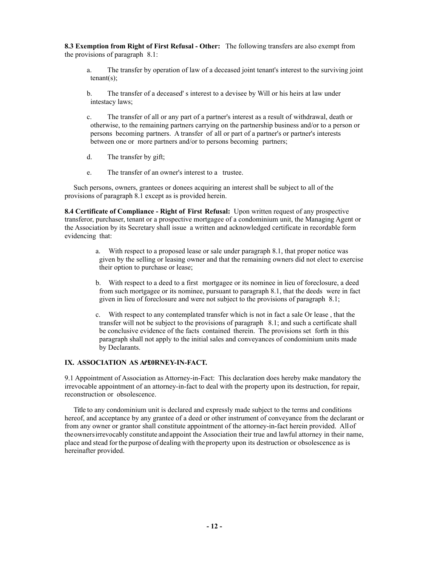**8.3 Exemption from Right of First Refusal - Other:** The following transfers are also exempt from the provisions of paragraph 8.1:

- a. The transfer by operation of law of a deceased joint tenant's interest to the surviving joint  $t$ enant $(s)$ ;
- b. The transfer of a deceased' s interest to a devisee by Will or his heirs at law under intestacy laws;
- c. The transfer of all or any part of a partner's interest as a result of withdrawal, death or otherwise, to the remaining partners carrying on the partnership business and/or to a person or persons becoming partners. A transfer of all or part of a partner's or partner's interests between one or more partners and/or to persons becoming partners;
- d. The transfer by gift;
- e. The transfer of an owner's interest to a trustee.

 Such persons, owners, grantees or donees acquiring an interest shall be subject to all of the provisions of paragraph 8.1 except as is provided herein.

**8.4 Certificate of Compliance - Right of First Refusal:** Upon written request of any prospective transferor, purchaser, tenant or a prospective mortgagee of a condominium unit, the Managing Agent or the Association by its Secretary shall issue a written and acknowledged certificate in recordable form evidencing that:

- a. With respect to a proposed lease or sale under paragraph 8.1, that proper notice was given by the selling or leasing owner and that the remaining owners did not elect to exercise their option to purchase or lease;
- b. With respect to a deed to a first mortgagee or its nominee in lieu of foreclosure, a deed from such mortgagee or its nominee, pursuant to paragraph 8.1, that the deeds were in fact given in lieu of foreclosure and were not subject to the provisions of paragraph 8.1;
- c. With respect to any contemplated transfer which is not in fact a sale Or lease , that the transfer will not be subject to the provisions of paragraph 8.1; and such a certificate shall be conclusive evidence of the facts contained therein. The provisions set forth in this paragraph shall not apply to the initial sales and conveyances of condominium units made by Declarants.

### **IX. ASSOCIATION AS A <b>E** ORNEY-IN-FACT.

9.1 Appointment of Association as Attorney-in-Fact: This declaration does hereby make mandatory the irrevocable appointment of an attorney-in-fact to deal with the property upon its destruction, for repair, reconstruction or obsolescence.

Title to any condominium unit is declared and expressly made subject to the terms and conditions hereof, and acceptance by any grantee of a deed or other instrument of conveyance from the declarant or from any owner or grantor shall constitute appointment of the attorney-in-fact herein provided. Allof theownersirrevocably constitute andappoint the Association their true and lawful attorney in their name, place and stead forthe purpose of dealing with theproperty upon its destruction or obsolescence as is hereinafter provided.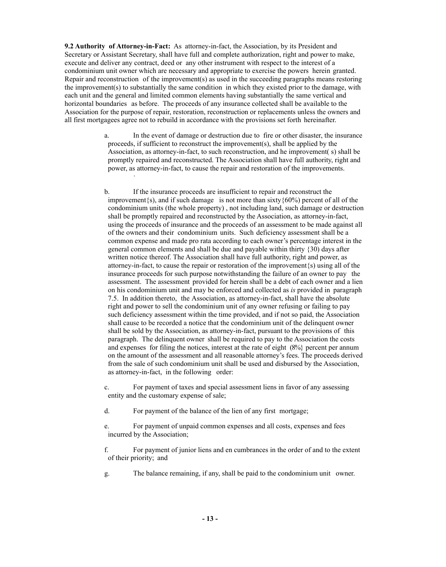**9.2 Authority of Attorney-in-Fact:** As attorney-in-fact, the Association, by its President and Secretary or Assistant Secretary, shall have full and complete authorization, right and power to make, execute and deliver any contract, deed or any other instrument with respect to the interest of a condominium unit owner which are necessary and appropriate to exercise the powers herein granted. Repair and reconstruction of the improvement(s) as used in the succeeding paragraphs means restoring the improvement(s) to substantially the same condition in which they existed prior to the damage, with each unit and the general and limited common elements having substantially the same vertical and horizontal boundaries as before. The proceeds of any insurance collected shall be available to the Association for the purpose of repair, restoration, reconstruction or replacements unless the owners and all first mortgagees agree not to rebuild in accordance with the provisions set forth hereinafter.

·

- a. In the event of damage or destruction due to fire or other disaster, the insurance proceeds, if sufficient to reconstruct the improvement(s), shall be applied by the Association, as attorney-in-fact, to such reconstruction, and he improvement( s) shall be promptly repaired and reconstructed. The Association shall have full authority, right and power, as attorney-in-fact, to cause the repair and restoration of the improvements.
- b. If the insurance proceeds are insufficient to repair and reconstruct the improvement $\{s\}$ , and if such damage is not more than sixty  $\{60\%$  percent of all of the condominium units (the whole property) , not including land, such damage or destruction shall be promptly repaired and reconstructed by the Association, as attorney-in-fact, using the proceeds of insurance and the proceeds of an assessment to be made against all of the owners and their condominium units. Such deficiency assessment shall be a common expense and made pro rata according to each owner's percentage interest in the general common elements and shall be due and payable within thirty {30) days after written notice thereof. The Association shall have full authority, right and power, as attorney-in-fact, to cause the repair or restoration of the improvement{s) using all of the insurance proceeds for such purpose notwithstanding the failure of an owner to pay the assessment. The assessment provided for herein shall be a debt of each owner and a lien on his condominium unit and may be enforced and collected as *is* provided in paragraph 7.5. In addition thereto, the Association, as attorney-in-fact, shall have the absolute right and power to sell the condominium unit of any owner refusing or failing to pay such deficiency assessment within the time provided, and if not so paid, the Association shall cause to be recorded a notice that the condominium unit of the delinquent owner shall be sold by the Association, as attorney-in-fact, pursuant to the provisions of this paragraph. The delinquent owner shall be required to pay to the Association the costs and expenses for filing the notices, interest at the rate of eight  $(8\%)$  percent per annum on the amount of the assessment and all reasonable attorney's fees. The proceeds derived from the sale of such condominium unit shall be used and disbursed by the Association, as attorney-in-fact, in the following order:
- c. For payment of taxes and special assessment liens in favor of any assessing entity and the customary expense of sale;
- d. For payment of the balance of the lien of any first mortgage;
- e. For payment of unpaid common expenses and all costs, expenses and fees incurred by the Association;
- f. For payment of junior liens and en cumbrances in the order of and to the extent of their priority; and
- g. The balance remaining, if any, shall be paid to the condominium unit owner.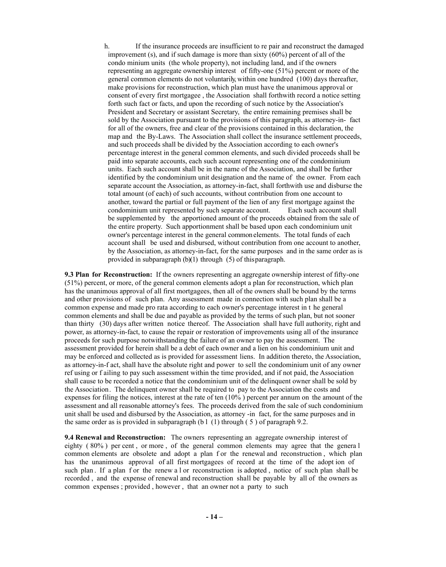h. If the insurance proceeds are insufficient to re pair and reconstruct the damaged improvement (s), and if such damage is more than sixty (60%) percent of all of the condo minium units (the whole property), not including land, and if the owners representing an aggregate ownership interest of fifty-one (51%) percent or more of the general common elements do not voluntarily, within one hundred (100) days thereafter, make provisions for reconstruction, which plan must have the unanimous approval or consent of every first mortgagee , the Association shall forthwith record a notice setting forth such fact or facts, and upon the recording of such notice by the Association's President and Secretary or assistant Secretary, the entire remaining premises shall be sold by the Association pursuant to the provisions of this paragraph, as attorney-in- fact for all of the owners, free and clear of the provisions contained in this declaration, the map and the By-Laws. The Association shall collect the insurance settlement proceeds, and such proceeds shall be divided by the Association according to each owner's percentage interest in the general common elements, and such divided proceeds shall be paid into separate accounts, each such account representing one of the condominium units. Each such account shall be in the name of the Association, and shall be further identified by the condominium unit designation and the name of the owner. From each separate account the Association, as attorney-in-fact, shall forthwith use and disburse the total amount (of each) of such accounts, without contribution from one account to another, toward the partial or full payment of the lien of any first mortgage against the condominium unit represented by such separate account. Each such account shall be supplemented by the apportioned amount of the proceeds obtained from the sale of the entire property. Such apportionment shall be based upon each condominium unit owner's percentage interest in the general common elements. The total funds of each account shall be used and disbursed, without contribution from one account to another, by the Association, as attorney-in-fact, for the same purposes and in the same order as is provided in subparagraph (b)(1) through (5) of thisparagraph.

**9.3 Plan for Reconstruction:** If the owners representing an aggregate ownership interest of fifty-one (51%) percent, or more, of the general common elements adopt a plan for reconstruction, which plan has the unanimous approval of all first mortgagees, then all of the owners shall be bound by the terms and other provisions of such plan. Any assessment made in connection with such plan shall be a common expense and made pro rata according to each owner's percentage interest in t he general common elements and shall be due and payable as provided by the terms of such plan, but not sooner than thirty (30) days after written notice thereof. The Association shall have full authority, right and power, as attorney-in-fact, to cause the repair or restoration of improvements using all of the insurance proceeds for such purpose notwithstanding the failure of an owner to pay the assessment. The assessment provided for herein shall be a debt of each owner and a lien on his condominium unit and may be enforced and collected as is provided for assessment liens. In addition thereto, the Association, as attorney-in-f act, shall have the absolute right and power to sell the condominium unit of any owner ref using or f ailing to pay such assessment within the time provided, and if not paid, the Association shall cause to be recorded a notice that the condominium unit of the delinquent owner shall be sold by the Association. The delinquent owner shall be required to pay to the Association the costs and expenses for filing the notices, interest at the rate of ten (10% ) percent per annum on the amount of the assessment and all reasonable attorney's fees. The proceeds derived from the sale of such condominium unit shall be used and disbursed by the Association, as attorney -in fact, for the same purposes and in the same order as is provided in subparagraph (b  $\frac{1}{1}$  (1) through (5) of paragraph 9.2.

**9.4 Renewal and Reconstruction:** The owners representing an aggregate ownership interest of eighty ( 80% ) per cent , or more , of the general common elements may agree that the genera l common elements are obsolete and adopt a plan f or the renewal and reconstruction, which plan has the unanimous approval of all first mortgagees of record at the time of the adopt ion of such plan. If a plan f or the renew a l or reconstruction is adopted, notice of such plan shall be recorded , and the expense of renewal and reconstruction shall be payable by all of the owners as common expenses ; provided , however , that an owner not a party to such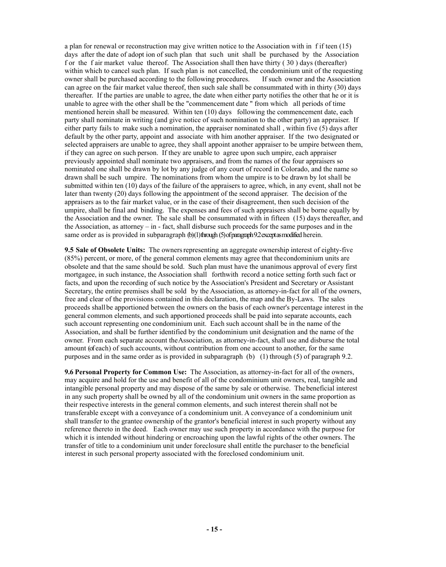a plan for renewal or reconstruction may give written notice to the Association with in f if teen (15) days after the date of adopt ion of such plan that such unit shall be purchased by the Association f or the f air market value thereof. The Association shall then have thirty ( 30 ) days (thereafter) within which to cancel such plan. If such plan is not cancelled, the condominium unit of the requesting owner shall be purchased according to the following procedures. If such owner and the Association can agree on the fair market value thereof, then such sale shall be consummated with in thirty (30) days thereafter. If the parties are unable to agree, the date when either party notifies the other that he or it is unable to agree with the other shall be the "commencement date " from which all periods of time mentioned herein shall be measured. Within ten (10) days following the commencement date, each party shall nominate in writing (and give notice of such nomination to the other party) an appraiser. If either party fails to make such a nomination, the appraiser nominated shall , within five (5) days after default by the other party, appoint and associate with him another appraiser. If the two designated or selected appraisers are unable to agree, they shall appoint another appraiser to be umpire between them, if they can agree on such person. If they are unable to agree upon such umpire, each appraiser previously appointed shall nominate two appraisers, and from the names of the four appraisers so nominated one shall be drawn by lot by any judge of any court of record in Colorado, and the name so drawn shall be such umpire. The nominations from whom the umpire is to be drawn by lot shall be submitted within ten (10) days of the failure of the appraisers to agree, which, in any event, shall not be later than twenty (20) days following the appointment of the second appraiser. The decision of the appraisers as to the fair market value, or in the case of their disagreement, then such decision of the umpire, shall be final and binding. The expenses and fees of such appraisers shall be borne equally by the Association and the owner. The sale shall be consummated with in fifteen (15) days thereafter, and the Association, as attorney – in - fact, shall disburse such proceeds for the same purposes and in the same order as is provided in subparagraph (b)(1) through (5) of paragraph 9.2 except as modified herein.

**9.5 Sale of Obsolete Units:** The ownersrepresenting an aggregate ownership interest of eighty-five (85%) percent, or more, of the general common elements may agree that thecondominium units are obsolete and that the same should be sold. Such plan must have the unanimous approval of every first mortgagee, in such instance, the Association shall forthwith record a notice setting forth such fact or facts, and upon the recording of such notice by the Association's President and Secretary or Assistant Secretary, the entire premises shall be sold by the Association, as attorney-in-fact for all of the owners, free and clear of the provisions contained in this declaration, the map and the By-Laws. The sales proceeds shallbe apportioned between the owners on the basis of each owner's percentage interest in the general common elements, and such apportioned proceeds shall be paid into separate accounts, each such account representing one condominium unit. Each such account shall be in the name of the Association, and shall be further identified by the condominium unit designation and the name of the owner. From each separate account theAssociation, as attorney-in-fact, shall use and disburse the total amount (of each) of such accounts, without contribution from one account to another, for the same purposes and in the same order as is provided in subparagraph (b) (1) through (5) of paragraph 9.2.

**9.6 Personal Property for Common Use:** The Association, as attorney-in-fact for all of the owners, may acquire and hold for the use and benefit of all of the condominium unit owners, real, tangible and intangible personal property and may dispose of the same by sale or otherwise. Thebeneficial interest in any such property shall be owned by all of the condominium unit owners in the same proportion as their respective interests in the general common elements, and such interest therein shall not be transferable except with a conveyance of a condominium unit. A conveyance of a condominium unit shall transfer to the grantee ownership of the grantor's beneficial interest in such property without any reference thereto in the deed. Each owner may use such property in accordance with the purpose for which it is intended without hindering or encroaching upon the lawful rights of the other owners. The transfer of title to a condominium unit under foreclosure shall entitle the purchaser to the beneficial interest in such personal property associated with the foreclosed condominium unit.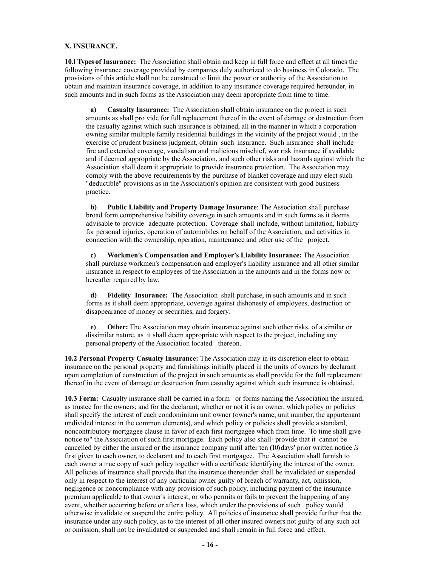#### **X. INSURANCE.**

**10.l Types of Insurance:** The Association shall obtain and keep in full force and effect at all times the following insurance coverage provided by companies duly authorized to do business inColorado. The provisions of this article shall not be construed to limit the power or authority of the Association to obtain and maintain insurance coverage, in addition to any insurance coverage required hereunder, in such amounts and in such forms as the Association may deem appropriate from time to time.

**a) Casualty Insurance:** The Association shall obtain insurance on the project in such amounts as shall pro vide for full replacement thereof in the event of damage or destruction from the casualty against which such insurance is obtained, all in the manner in which a corporation owning similar multiple family residential buildings in the vicinity of the project would , in the exercise of prudent business judgment, obtain such insurance. Such insurance shall include fire and extended coverage, vandalism and malicious mischief, war risk insurance if available and if deemed appropriate by the Association, and such other risks and hazards against which the Association shall deem it appropriate to provide insurance protection. The Association may comply with the above requirements by the purchase of blanket coverage and may elect such "deductible" provisions as in the Association's opinion are consistent with good business practice.

**b) Public Liability and Property Damage Insurance**: The Association shall purchase broad form comprehensive liability coverage in such amounts and in such forms as it deems advisable to provide adequate protection. Coverage shall include, without limitation, liability for personal injuries, operation of automobiles on behalf of the Association, and activities in connection with the ownership, operation, maintenance and other use of the project.

**c) Workmen's Compensation and Employer's Liability Insurance:** The Association shall purchase workmen's compensation and employer's liability insurance and all other similar insurance in respect to employees of the Association in the amounts and in the forms now or hereafter required by law.

**d) Fidelity Insurance:** The Association shall purchase, in such amounts and in such forms as it shall deem appropriate, coverage against dishonesty of employees, destruction or disappearance of money or securities, and forgery.

**e) Other:** The Association may obtain insurance against such other risks, of a similar or dissimilar nature, as it shall deem appropriate with respect to the project, including any personal property of the Association located thereon.

**10.2 Personal Property Casualty Insurance:** The Association may in its discretion elect to obtain insurance on the personal property and furnishings initially placed in the units of owners by declarant upon completion of construction of the project in such amounts as shall provide for the full replacement thereof in the event of damage or destruction from casualty against which such insurance is obtained.

**10.3 Form:** Casualty insurance shall be carried in a form or forms naming the Association the insured, as trustee for the owners; and for the declarant, whether or not it is an owner, which policy or policies shall specify the interest of each condominium unit owner (owner's name, unit number, the appurtenant undivided interest in the common elements), and which policy or policies shall provide a standard, noncontributory mortgagee clause in favor of each first mortgagee which from time. To time shall give notice to" the Association of such first mortgage. Each policy also shall· provide that it cannot be cancelled by either the insured or the insurance company until after ten (10) days' prior written notice *is*  first given to each owner, to declarant and to each first mortgagee. The Association shall furnish to each owner a true copy of such policy together with a certificate identifying the interest of the owner. All policies of insurance shall provide that the insurance thereunder shall be invalidated or suspended only in respect to the interest of any particular owner guilty of breach of warranty, act, omission, negligence or noncompliance with any provision of such policy, including payment of the insurance premium applicable to that owner's interest, or who permits or fails to prevent the happening of any event, whether occurring before or after a loss, which under the provisions of such policy would otherwise invalidate or suspend the entire policy. All policies of insurance shall provide further that the insurance under any such policy, as to the interest of all other insured owners not guilty of any such act or omission, shall not be invalidated or suspended and shall remain in full force and effect.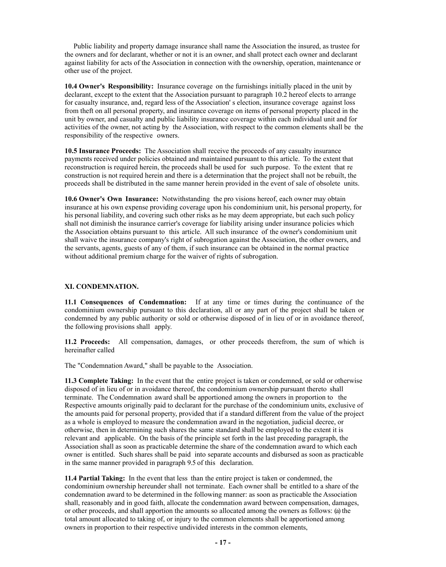Public liability and property damage insurance shall name the Association the insured, as trustee for the owners and for declarant, whether or not it is an owner, and shall protect each owner and declarant against liability for acts of the Association in connection with the ownership, operation, maintenance or other use of the project.

**10.4 Owner's Responsibility:** Insurance coverage on the furnishings initially placed in the unit by declarant, except to the extent that the Association pursuant to paragraph 10.2 hereof elects to arrange for casualty insurance, and, regard less of the Association' s election, insurance coverage against loss from theft on all personal property, and insurance coverage on items of personal property placed in the unit by owner, and casualty and public liability insurance coverage within each individual unit and for activities of the owner, not acting by the Association, with respect to the common elements shall be the responsibility of the respective owners.

**10.5 Insurance Proceeds:** The Association shall receive the proceeds of any casualty insurance payments received under policies obtained and maintained pursuant to this article. To the extent that reconstruction is required herein, the proceeds shall be used for such purpose. To the extent that re construction is not required herein and there is a determination that the project shall not be rebuilt, the proceeds shall be distributed in the same manner herein provided in the event of sale of obsolete units.

**10.6 Owner's Own Insurance:** Notwithstanding the pro visions hereof, each owner may obtain insurance at his own expense providing coverage upon his condominium unit, his personal property, for his personal liability, and covering such other risks as he may deem appropriate, but each such policy shall not diminish the insurance carrier's coverage for liability arising under insurance policies which the Association obtains pursuant to this article. All such insurance of the owner's condominium unit shall waive the insurance company's right of subrogation against the Association, the other owners, and the servants, agents, guests of any of them, if such insurance can be obtained in the normal practice without additional premium charge for the waiver of rights of subrogation.

#### **XI. CONDEMNATION.**

**11.1 Consequences of Condemnation:** If at any time or times during the continuance of the condominium ownership pursuant to this declaration, all or any part of the project shall be taken or condemned by any public authority or sold or otherwise disposed of in lieu of or in avoidance thereof, the following provisions shall apply.

**11.2 Proceeds:** All compensation, damages, or other proceeds therefrom, the sum of which is hereinafter called

The "Condemnation Award," shall be payable to the Association.

**11.3 Complete Taking:** In the event that the entire project is taken or condemned, or sold or otherwise disposed of in lieu of or in avoidance thereof, the condominium ownership pursuant thereto shall terminate. The Condemnation award shall be apportioned among the owners in proportion to the Respective amounts originally paid to declarant for the purchase of the condominium units, exclusive of the amounts paid for personal property, provided that if a standard different from the value of the project as a whole is employed to measure the condemnation award in the negotiation, judicial decree, or otherwise, then in determining such shares the same standard shall be employed to the extent it is relevant and applicable. On the basis of the principle set forth in the last preceding paragraph, the Association shall as soon as practicable determine the share of the condemnation award to which each owner is entitled. Such shares shall be paid into separate accounts and disbursed as soon as practicable in the same manner provided in paragraph 9.5 of this declaration.

**11.4 Partial Taking:** In the event that less than the entire project is taken or condemned, the condominium ownership hereunder shall not terminate. Each owner shall be entitled to a share of the condemnation award to be determined in the following manner: as soon as practicable the Association shall, reasonably and in good faith, allocate the condemnation award between compensation, damages, or other proceeds, and shall apportion the amounts so allocated among the owners as follows: (a) the total amount allocated to taking of, or injury to the common elements shall be apportioned among owners in proportion to their respective undivided interests in the common elements,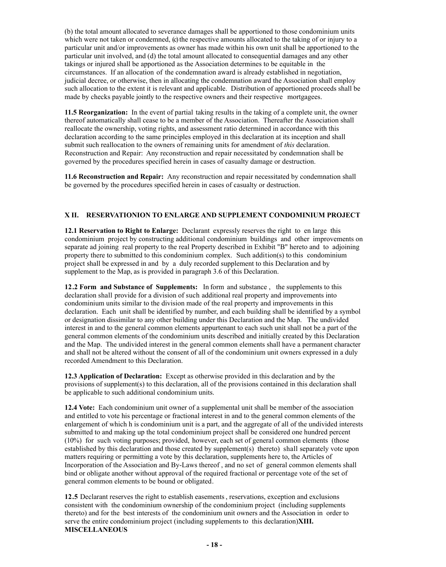(b) the total amount allocated to severance damages shall be apportioned to those condominium units which were not taken or condemned, (c) the respective amounts allocated to the taking of or injury to a particular unit and/or improvements as owner has made within his own unit shall be apportioned to the particular unit involved, and (d) the total amount allocated to consequential damages and any other takings or injured shall be apportioned as the Association determines to be equitable in the circumstances. If an allocation of the condemnation award is already established in negotiation, judicial decree, or otherwise, then in allocating the condemnation award the Association shall employ such allocation to the extent it is relevant and applicable. Distribution of apportioned proceeds shall be made by checks payable jointly to the respective owners and their respective mortgagees.

**11.5 Reorganization:** In the event of partial taking results in the taking of a complete unit, the owner thereof automatically shall cease to be a member of the Association. Thereafter the Association shall reallocate the ownership, voting rights, and assessment ratio determined in accordance with this declaration according to the same principles employed in this declaration at its inception and shall submit such reallocation to the owners of remaining units for amendment of *this* declaration. Reconstruction and Repair: Any reconstruction and repair necessitated by condemnation shall be governed by the procedures specified herein in cases of casualty damage or destruction.

**11.6 Reconstruction and Repair:** Any reconstruction and repair necessitated by condemnation shall be governed by the procedures specified herein in cases of casualty or destruction.

### **X II. RESERVATIONION TO ENLARGE AND SUPPLEMENT CONDOMINIUM PROJECT**

**12.1 Reservation to Right to Enlarge:** Declarant expressly reserves the right to en large this condominium project by constructing additional condominium buildings and other improvements on separate ad joining real property to the real Property described in Exhibit "B" hereto and to adjoining property there to submitted to this condominium complex. Such addition(s) to this condominium project shall be expressed in and by a duly recorded supplement to this Declaration and by supplement to the Map, as is provided in paragraph 3.6 of this Declaration.

**12.2 Form and Substance of Supplements:** In form and substance , the supplements to this declaration shall provide for a division of such additional real property and improvements into condominium units similar to the division made of the real property and improvements in this declaration. Each unit shall be identified by number, and each building shall be identified by a symbol or designation dissimilar to any other building under this Declaration and the Map. The undivided interest in and to the general common elements appurtenant to each such unit shall not be a part of the general common elements of the condominium units described and initially created by this Declaration and the Map. The undivided interest in the general common elements shall have a permanent character and shall not be altered without the consent of all of the condominium unit owners expressed in a duly recorded Amendment to this Declaration.

**12.3 Application of Declaration:** Except as otherwise provided in this declaration and by the provisions of supplement(s) to this declaration, all of the provisions contained in this declaration shall be applicable to such additional condominium units.

**12.4 Vote:** Each condominium unit owner of a supplemental unit shall be member of the association and entitled to vote his percentage or fractional interest in and to the general common elements of the enlargement of which h is condominium unit is a part, and the aggregate of all of the undivided interests submitted to and making up the total condominium project shall be considered one hundred percent (10%) for such voting purposes; provided, however, each set of general common elements (those established by this declaration and those created by supplement(s) thereto) shall separately vote upon matters requiring or permitting a vote by this declaration, supplements here to, the Articles of Incorporation of the Association and By-Laws thereof , and no set of general common elements shall bind or obligate another without approval of the required fractional or percentage vote of the set of general common elements to be bound or obligated.

**12.5** Declarant reserves the right to establish easements, reservations, exception and exclusions consistent with the condominium ownership of the condominium project (including supplements thereto) and for the best interests of the condominium unit owners and the Association in order to serve the entire condominium project (including supplements to this declaration)**XIII. MISCELLANEOUS**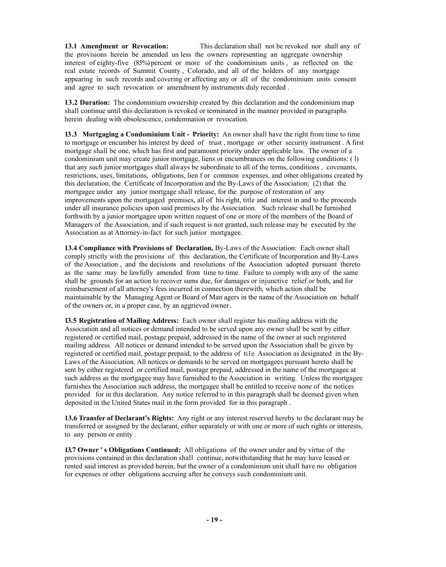**13.1 Amendment or Revocation:** This declaration shall not be revoked nor shall any of the provisions herein be amended un less the owners representing an aggregate ownership interest of eighty-five (85%) percent or more of the condominium units , as reflected on the real estate records of Summit County , Colorado, and all of the holders of any mortgage appearing in such records and covering or affecting any or all of the condominium units consent and agree to such revocation or amendment by instruments duly recorded .

**13.2 Duration:** The condominium ownership created by this declaration and the condominium map shall continue until this declaration is revoked or terminated in the manner provided in paragraphs herein dealing with obsolescence, condemnation or revocation.

**13 .3 Mortgaging a Condominium Unit - Priority:** An owner shall have the right from time to time to mortgage or encumber his interest by deed of trust , mortgage or other security instrument . A first mortgage shall be one, which has first and paramount priority under applicable law. The owner of a condominium unit may create junior mortgage, liens or encumbrances on the following conditions: ( l) that any such junior mortgages shall always be subordinate to all of the terms, conditions , covenants, restrictions, uses, limitations, obligations, lien f or common expenses, and other obligations created by this declaration, the Certificate of Incorporation and the By-Laws of the Association; (2) that the mortgagee under any junior mortgage shall release, for the purpose of restoration of any improvements upon the mortgaged premises, all of his right, title and interest in and to the proceeds under all insurance policies upon said premises by the Association. Such release shall be furnished forthwith by a junior mortgagee upon written request of one or more of the members of the Board of Managers of the Association, and if such request is not granted, such release may be executed by the Association as at Attorney-in-fact for such junior mortgagee.

**13.4 Compliance with Provisions of Declaration,** By-Laws of the Association: Each owner shall comply strictly with the provisions of this declaration, the Certificate of Incorporation and By-Laws of the Association , and the decisions and resolutions of the Association adopted pursuant thereto as the same may be lawfully amended from time to time. Failure to comply with any of the same shall be grounds for an action to recover sums due, for damages or injunctive relief or both, and for reimbursement of all attorney's fees incurred in connection therewith, which action shall be maintainable by the Managing Agent or Board of Man agers in the name of the Association on behalf of the owners or, in a proper case, by an aggrieved owner.

**13.5 Registration of Mailing Address:** Each owner shall register his mailing address with the Association and all notices or demand intended to be served upon any owner shall be sent by either registered or certified mail, postage prepaid, addressed in the name of the owner at such registered mailing address. All notices or demand intended to be served upon the Association shall be given by registered or certified mail, postage prepaid, to the address of ti1e Association as designated in the By-Laws of the Association. All notices or demands to be served on mortgagees pursuant hereto shall be sent by either registered or certified mail, postage prepaid, addressed in the name of the mortgagee at such address as the mortgagee may have furnished to the Association in writing. Unless the mortgagee furnishes the Association such address, the mortgagee shall be entitled to receive none of the notices provided for in this declaration. Any notice referred to in this paragraph shall be deemed given when deposited in the United States mail in the form provided for in this paragraph .

**13.6 Transfer of Declarant's Rights:** Any right or any interest reserved hereby to the declarant may be transferred or assigned by the declarant, either separately or with one or more of such rights or interests, to any person or entity .

**13.7 Owner ' s Obligations Continued:** All obligations of the owner under and by virtue of the provisions contained in this declaration shall continue, notwithstanding that he may have leased or rented said interest as provided herein, but the owner of a condominium unit shall have no obligation for expenses or other obligations accruing after he conveys such condominium unit.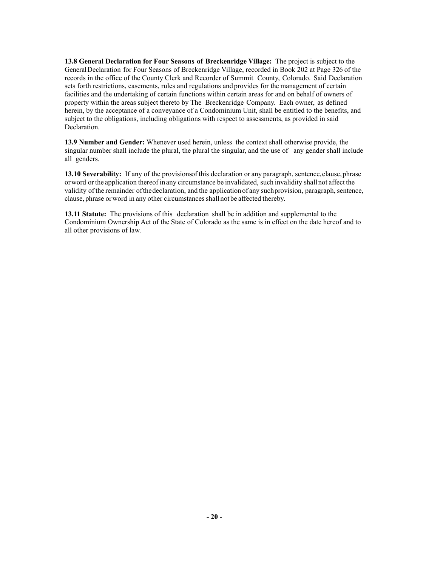**13.8 General Declaration for Four Seasons of Breckenridge Village:** The project is subject to the GeneralDeclaration for Four Seasons of Breckenridge Village, recorded in Book 202 at Page 326 of the records in the office of the County Clerk and Recorder of Summit County, Colorado. Said Declaration sets forth restrictions, easements, rules and regulations and provides for the management of certain facilities and the undertaking of certain functions within certain areas for and on behalf of owners of property within the areas subject thereto by The Breckenridge Company. Each owner, as defined herein, by the acceptance of a conveyance of a Condominium Unit, shall be entitled to the benefits, and subject to the obligations, including obligations with respect to assessments, as provided in said **Declaration** 

**13.9 Number and Gender:** Whenever used herein, unless the context shall otherwise provide, the singular number shall include the plural, the plural the singular, and the use of any gender shall include all genders.

**13.10 Severability:** If any of the provisions of this declaration or any paragraph, sentence, clause, phrase orword orthe application thereof inany circumstance be invalidated, such invalidity shallnot affect the validity ofthe remainder ofthedeclaration, and the applicationof any suchprovision, paragraph, sentence, clause, phrase or word in any other circumstances shall not be affected thereby.

**13.11 Statute:** The provisions of this declaration shall be in addition and supplemental to the Condominium Ownership Act of the State of Colorado as the same is in effect on the date hereof and to all other provisions of law.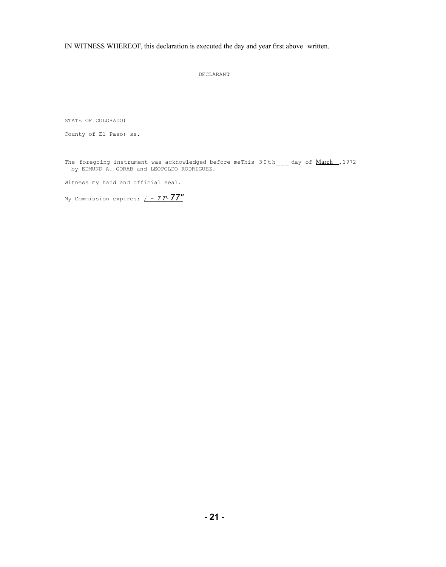IN WITNESS WHEREOF, this declaration is executed the day and year first above written.

DECLARANT:

STATE OF COLORADO)

County of El Paso) ss.

The foregoing instrument was acknowledged before meThis  $30th_{---}$  day of  $March$ , 1972</u> by EDMUND A. GORAB and LEOPOLDO RODRIGUEZ.

Witness my hand and official seal.

My Commission expires: / - *7 7'- 77"*